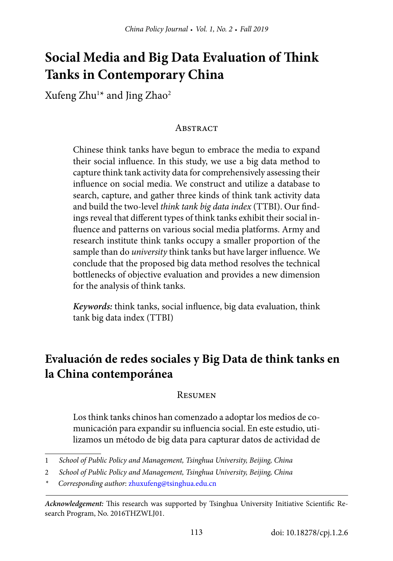# **Social Media and Big Data Evaluation of Think Tanks in Contemporary China**

Xufeng Zhu $^{\scriptscriptstyle{1\star}}$  and Jing Zhao $^{\scriptscriptstyle{2}}$ 

#### **ABSTRACT**

Chinese think tanks have begun to embrace the media to expand their social influence. In this study, we use a big data method to capture think tank activity data for comprehensively assessing their influence on social media. We construct and utilize a database to search, capture, and gather three kinds of think tank activity data and build the two-level *think tank big data index* (TTBI). Our findings reveal that different types of think tanks exhibit their social influence and patterns on various social media platforms. Army and research institute think tanks occupy a smaller proportion of the sample than do *university* think tanks but have larger influence. We conclude that the proposed big data method resolves the technical bottlenecks of objective evaluation and provides a new dimension for the analysis of think tanks.

*Keywords:* think tanks, social influence, big data evaluation, think tank big data index (TTBI)

## **Evaluación de redes sociales y Big Data de think tanks en la China contemporánea**

#### **RESUMEN**

Los think tanks chinos han comenzado a adoptar los medios de comunicación para expandir su influencia social. En este estudio, utilizamos un método de big data para capturar datos de actividad de

<sup>1</sup> *School of Public Policy and Management, Tsinghua University, Beijing, China*

<sup>2</sup> *School of Public Policy and Management, Tsinghua University, Beijing, China*

<sup>\*</sup> *Corresponding author*: [zhuxufeng@tsinghua.edu.cn](mailto:zhuxufeng@tsinghua.edu.cn)

*Acknowledgement:* This research was supported by Tsinghua University Initiative Scientific Research Program, No. 2016THZWLJ01.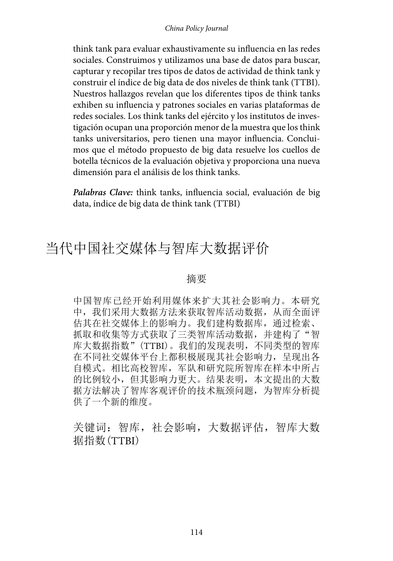#### *China Policy Journal*

think tank para evaluar exhaustivamente su influencia en las redes sociales. Construimos y utilizamos una base de datos para buscar, capturar y recopilar tres tipos de datos de actividad de think tank y construir el índice de big data de dos niveles de think tank (TTBI). Nuestros hallazgos revelan que los diferentes tipos de think tanks exhiben su influencia y patrones sociales en varias plataformas de redes sociales. Los think tanks del ejército y los institutos de investigación ocupan una proporción menor de la muestra que los think tanks universitarios, pero tienen una mayor influencia. Concluimos que el método propuesto de big data resuelve los cuellos de botella técnicos de la evaluación objetiva y proporciona una nueva dimensión para el análisis de los think tanks.

*Palabras Clave:* think tanks, influencia social, evaluación de big data, índice de big data de think tank (TTBI)

## 当代中国社交媒体与智库大数据评价

#### 摘要

中国智库已经开始利用媒体来扩大其社会影响力。本研究 中,我们采用大数据方法来获取智库活动数据,从而全面评 估其在社交媒体上的影响力。我们建构数据库,通过检索、 抓取和收集等方式获取了三类智库活动数据,并建构了"智 库大数据指数"(TTBI)。我们的发现表明,不同类型的智库 在不同社交媒体平台上都积极展现其社会影响力,呈现出各 自模式。相比高校智库,军队和研究院所智库在样本中所占 的比例较小,但其影响力更大。结果表明,本文提出的大数 据方法解决了智库客观评价的技术瓶颈问题,为智库分析提 供了一个新的维度。

关键词: 智库, 社会影响, 大数据评估, 智库大数 据指数(TTBI)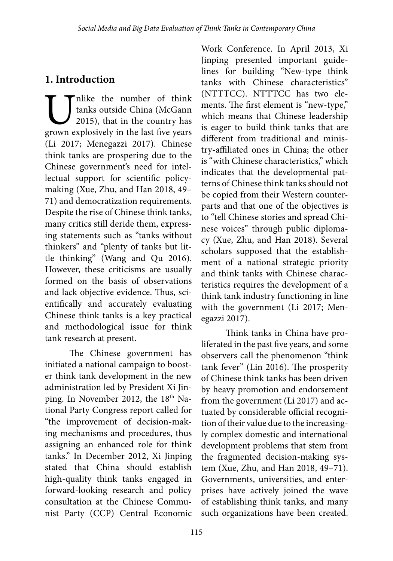## **1. Introduction**

Unlike the number of think<br>tanks outside China (McGann<br>2015), that in the country has<br>grown explosively in the last five years tanks outside China (McGann 2015), that in the country has grown explosively in the last five years (Li 2017; Menegazzi 2017). Chinese think tanks are prospering due to the Chinese government's need for intellectual support for scientific policymaking (Xue, Zhu, and Han 2018, 49– 71) and democratization requirements. Despite the rise of Chinese think tanks, many critics still deride them, expressing statements such as "tanks without thinkers" and "plenty of tanks but little thinking" (Wang and Qu 2016). However, these criticisms are usually formed on the basis of observations and lack objective evidence. Thus, scientifically and accurately evaluating Chinese think tanks is a key practical and methodological issue for think tank research at present.

The Chinese government has initiated a national campaign to booster think tank development in the new administration led by President Xi Jinping. In November 2012, the 18<sup>th</sup> National Party Congress report called for "the improvement of decision-making mechanisms and procedures, thus assigning an enhanced role for think tanks." In December 2012, Xi Jinping stated that China should establish high-quality think tanks engaged in forward-looking research and policy consultation at the Chinese Communist Party (CCP) Central Economic

Work Conference. In April 2013, Xi Jinping presented important guidelines for building "New-type think tanks with Chinese characteristics" (NTTTCC). NTTTCC has two elements. The first element is "new-type," which means that Chinese leadership is eager to build think tanks that are different from traditional and ministry-affiliated ones in China; the other is "with Chinese characteristics," which indicates that the developmental patterns of Chinese think tanks should not be copied from their Western counterparts and that one of the objectives is to "tell Chinese stories and spread Chinese voices" through public diplomacy (Xue, Zhu, and Han 2018). Several scholars supposed that the establishment of a national strategic priority and think tanks with Chinese characteristics requires the development of a think tank industry functioning in line with the government (Li 2017; Menegazzi 2017).

Think tanks in China have proliferated in the past five years, and some observers call the phenomenon "think tank fever" (Lin 2016). The prosperity of Chinese think tanks has been driven by heavy promotion and endorsement from the government (Li 2017) and actuated by considerable official recognition of their value due to the increasingly complex domestic and international development problems that stem from the fragmented decision-making system (Xue, Zhu, and Han 2018, 49–71). Governments, universities, and enterprises have actively joined the wave of establishing think tanks, and many such organizations have been created.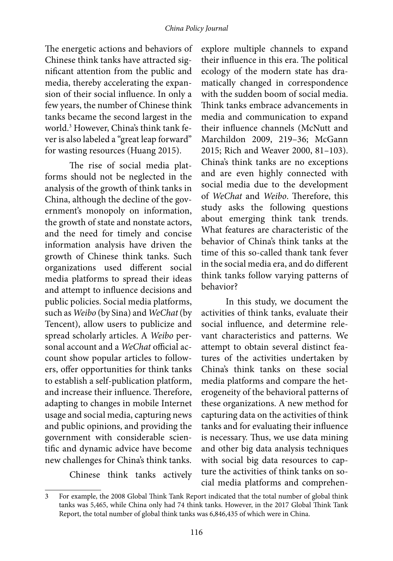#### *China Policy Journal*

The energetic actions and behaviors of Chinese think tanks have attracted significant attention from the public and media, thereby accelerating the expansion of their social influence. In only a few years, the number of Chinese think tanks became the second largest in the world.3 However, China's think tank fever is also labeled a "great leap forward" for wasting resources (Huang 2015).

The rise of social media platforms should not be neglected in the analysis of the growth of think tanks in China, although the decline of the government's monopoly on information, the growth of state and nonstate actors, and the need for timely and concise information analysis have driven the growth of Chinese think tanks. Such organizations used different social media platforms to spread their ideas and attempt to influence decisions and public policies. Social media platforms, such as *Weibo* (by Sina) and *WeChat* (by Tencent), allow users to publicize and spread scholarly articles. A *Weibo* personal account and a *WeChat* official account show popular articles to followers, offer opportunities for think tanks to establish a self-publication platform, and increase their influence. Therefore, adapting to changes in mobile Internet usage and social media, capturing news and public opinions, and providing the government with considerable scientific and dynamic advice have become new challenges for China's think tanks.

Chinese think tanks actively

explore multiple channels to expand their influence in this era. The political ecology of the modern state has dramatically changed in correspondence with the sudden boom of social media. Think tanks embrace advancements in media and communication to expand their influence channels (McNutt and Marchildon 2009, 219–36; McGann 2015; Rich and Weaver 2000, 81–103). China's think tanks are no exceptions and are even highly connected with social media due to the development of *WeChat* and *Weibo*. Therefore, this study asks the following questions about emerging think tank trends. What features are characteristic of the behavior of China's think tanks at the time of this so-called thank tank fever in the social media era, and do different think tanks follow varying patterns of behavior?

In this study, we document the activities of think tanks, evaluate their social influence, and determine relevant characteristics and patterns. We attempt to obtain several distinct features of the activities undertaken by China's think tanks on these social media platforms and compare the heterogeneity of the behavioral patterns of these organizations. A new method for capturing data on the activities of think tanks and for evaluating their influence is necessary. Thus, we use data mining and other big data analysis techniques with social big data resources to capture the activities of think tanks on social media platforms and comprehen-

<sup>3</sup> For example, the 2008 Global Think Tank Report indicated that the total number of global think tanks was 5,465, while China only had 74 think tanks. However, in the 2017 Global Think Tank Report, the total number of global think tanks was 6,846,435 of which were in China.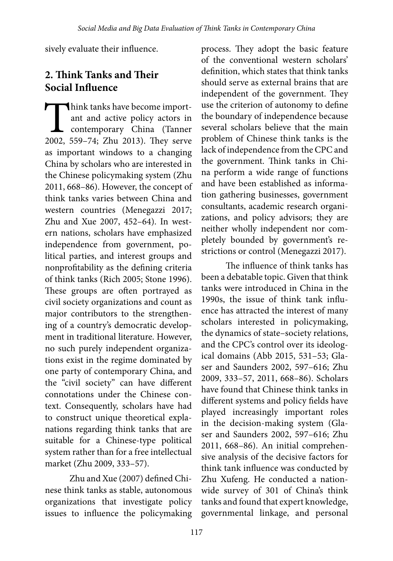sively evaluate their influence.

## **2. Think Tanks and Their Social Influence**

Think tanks have become import-<br>ant and active policy actors in<br>contemporary China (Tanner<br>2002, 559–74: Zhu 2013). They serve ant and active policy actors in contemporary China (Tanner 2002, 559–74; Zhu 2013). They serve as important windows to a changing China by scholars who are interested in the Chinese policymaking system (Zhu 2011, 668–86). However, the concept of think tanks varies between China and western countries (Menegazzi 2017; Zhu and Xue 2007, 452–64). In western nations, scholars have emphasized independence from government, political parties, and interest groups and nonprofitability as the defining criteria of think tanks (Rich 2005; Stone 1996). These groups are often portrayed as civil society organizations and count as major contributors to the strengthening of a country's democratic development in traditional literature. However, no such purely independent organizations exist in the regime dominated by one party of contemporary China, and the "civil society" can have different connotations under the Chinese context. Consequently, scholars have had to construct unique theoretical explanations regarding think tanks that are suitable for a Chinese-type political system rather than for a free intellectual market (Zhu 2009, 333–57).

Zhu and Xue (2007) defined Chinese think tanks as stable, autonomous organizations that investigate policy issues to influence the policymaking process. They adopt the basic feature of the conventional western scholars' definition, which states that think tanks should serve as external brains that are independent of the government. They use the criterion of autonomy to define the boundary of independence because several scholars believe that the main problem of Chinese think tanks is the lack of independence from the CPC and the government. Think tanks in China perform a wide range of functions and have been established as information gathering businesses, government consultants, academic research organizations, and policy advisors; they are neither wholly independent nor completely bounded by government's restrictions or control (Menegazzi 2017).

The influence of think tanks has been a debatable topic. Given that think tanks were introduced in China in the 1990s, the issue of think tank influence has attracted the interest of many scholars interested in policymaking, the dynamics of state–society relations, and the CPC's control over its ideological domains (Abb 2015, 531–53; Glaser and Saunders 2002, 597–616; Zhu 2009, 333–57, 2011, 668–86). Scholars have found that Chinese think tanks in different systems and policy fields have played increasingly important roles in the decision-making system (Glaser and Saunders 2002, 597–616; Zhu 2011, 668–86). An initial comprehensive analysis of the decisive factors for think tank influence was conducted by Zhu Xufeng. He conducted a nationwide survey of 301 of China's think tanks and found that expert knowledge, governmental linkage, and personal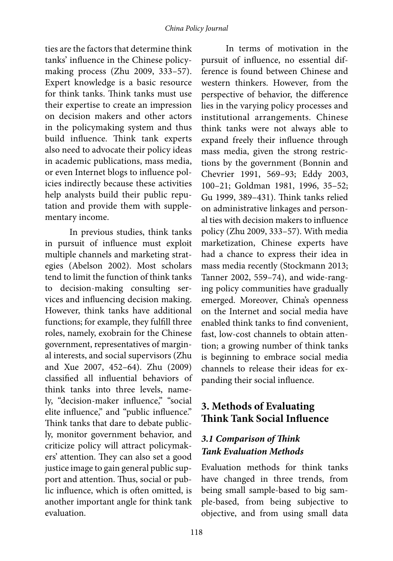ties are the factors that determine think tanks' influence in the Chinese policymaking process (Zhu 2009, 333–57). Expert knowledge is a basic resource for think tanks. Think tanks must use their expertise to create an impression on decision makers and other actors in the policymaking system and thus build influence. Think tank experts also need to advocate their policy ideas in academic publications, mass media, or even Internet blogs to influence policies indirectly because these activities help analysts build their public reputation and provide them with supplementary income.

In previous studies, think tanks in pursuit of influence must exploit multiple channels and marketing strategies (Abelson 2002). Most scholars tend to limit the function of think tanks to decision-making consulting services and influencing decision making. However, think tanks have additional functions; for example, they fulfill three roles, namely, exobrain for the Chinese government, representatives of marginal interests, and social supervisors (Zhu and Xue 2007, 452–64). Zhu (2009) classified all influential behaviors of think tanks into three levels, namely, "decision-maker influence," "social elite influence," and "public influence." Think tanks that dare to debate publicly, monitor government behavior, and criticize policy will attract policymakers' attention. They can also set a good justice image to gain general public support and attention. Thus, social or public influence, which is often omitted, is another important angle for think tank evaluation.

In terms of motivation in the pursuit of influence, no essential difference is found between Chinese and western thinkers. However, from the perspective of behavior, the difference lies in the varying policy processes and institutional arrangements. Chinese think tanks were not always able to expand freely their influence through mass media, given the strong restrictions by the government (Bonnin and Chevrier 1991, 569–93; Eddy 2003, 100–21; Goldman 1981, 1996, 35–52; Gu 1999, 389–431). Think tanks relied on administrative linkages and personal ties with decision makers to influence policy (Zhu 2009, 333–57). With media marketization, Chinese experts have had a chance to express their idea in mass media recently (Stockmann 2013; Tanner 2002, 559–74), and wide-ranging policy communities have gradually emerged. Moreover, China's openness on the Internet and social media have enabled think tanks to find convenient, fast, low-cost channels to obtain attention; a growing number of think tanks is beginning to embrace social media channels to release their ideas for expanding their social influence.

## **3. Methods of Evaluating Think Tank Social Influence**

### *3.1 Comparison of Think Tank Evaluation Methods*

Evaluation methods for think tanks have changed in three trends, from being small sample-based to big sample-based, from being subjective to objective, and from using small data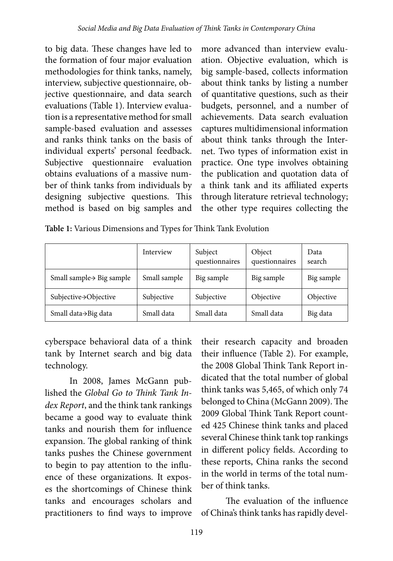to big data. These changes have led to the formation of four major evaluation methodologies for think tanks, namely, interview, subjective questionnaire, objective questionnaire, and data search evaluations (Table 1). Interview evaluation is a representative method for small sample-based evaluation and assesses and ranks think tanks on the basis of individual experts' personal feedback. Subjective questionnaire evaluation obtains evaluations of a massive number of think tanks from individuals by designing subjective questions. This method is based on big samples and

more advanced than interview evaluation. Objective evaluation, which is big sample-based, collects information about think tanks by listing a number of quantitative questions, such as their budgets, personnel, and a number of achievements. Data search evaluation captures multidimensional information about think tanks through the Internet. Two types of information exist in practice. One type involves obtaining the publication and quotation data of a think tank and its affiliated experts through literature retrieval technology; the other type requires collecting the

|  |  |  |  |  |  | Table 1: Various Dimensions and Types for Think Tank Evolution |
|--|--|--|--|--|--|----------------------------------------------------------------|
|--|--|--|--|--|--|----------------------------------------------------------------|

|                                       | Interview    | Subject<br>questionnaires | Object<br>questionnaires | Data<br>search |
|---------------------------------------|--------------|---------------------------|--------------------------|----------------|
| Small sample $\rightarrow$ Big sample | Small sample | Big sample                | Big sample               | Big sample     |
| Subjective→Objective                  | Subjective   | Subjective                | Objective                | Objective      |
| Small data→Big data                   | Small data   | Small data                | Small data               | Big data       |

cyberspace behavioral data of a think tank by Internet search and big data technology.

In 2008, James McGann published the *Global Go to Think Tank Index Report*, and the think tank rankings became a good way to evaluate think tanks and nourish them for influence expansion. The global ranking of think tanks pushes the Chinese government to begin to pay attention to the influence of these organizations. It exposes the shortcomings of Chinese think tanks and encourages scholars and practitioners to find ways to improve

their research capacity and broaden their influence (Table 2). For example, the 2008 Global Think Tank Report indicated that the total number of global think tanks was 5,465, of which only 74 belonged to China (McGann 2009). The 2009 Global Think Tank Report counted 425 Chinese think tanks and placed several Chinese think tank top rankings in different policy fields. According to these reports, China ranks the second in the world in terms of the total number of think tanks.

The evaluation of the influence of China's think tanks has rapidly devel-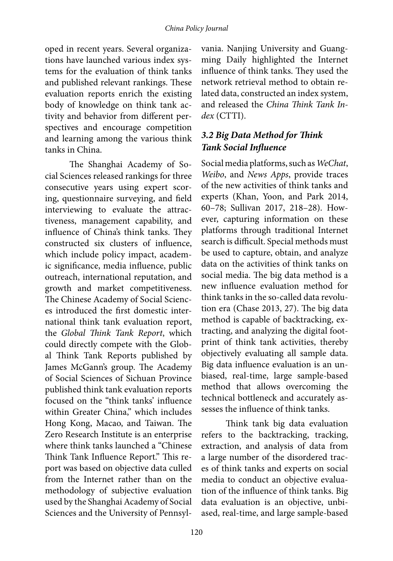#### *China Policy Journal*

oped in recent years. Several organizations have launched various index systems for the evaluation of think tanks and published relevant rankings. These evaluation reports enrich the existing body of knowledge on think tank activity and behavior from different perspectives and encourage competition and learning among the various think tanks in China.

The Shanghai Academy of Social Sciences released rankings for three consecutive years using expert scoring, questionnaire surveying, and field interviewing to evaluate the attractiveness, management capability, and influence of China's think tanks. They constructed six clusters of influence, which include policy impact, academic significance, media influence, public outreach, international reputation, and growth and market competitiveness. The Chinese Academy of Social Sciences introduced the first domestic international think tank evaluation report, the *Global Think Tank Report*, which could directly compete with the Global Think Tank Reports published by James McGann's group. The Academy of Social Sciences of Sichuan Province published think tank evaluation reports focused on the "think tanks' influence within Greater China," which includes Hong Kong, Macao, and Taiwan. The Zero Research Institute is an enterprise where think tanks launched a "Chinese Think Tank Influence Report." This report was based on objective data culled from the Internet rather than on the methodology of subjective evaluation used by the Shanghai Academy of Social Sciences and the University of Pennsylvania. Nanjing University and Guangming Daily highlighted the Internet influence of think tanks. They used the network retrieval method to obtain related data, constructed an index system, and released the *China Think Tank Index* (CTTI).

### *3.2 Big Data Method for Think Tank Social Influence*

Social media platforms, such as *WeChat*, *Weibo*, and *News Apps*, provide traces of the new activities of think tanks and experts (Khan, Yoon, and Park 2014, 60–78; Sullivan 2017, 218–28). However, capturing information on these platforms through traditional Internet search is difficult. Special methods must be used to capture, obtain, and analyze data on the activities of think tanks on social media. The big data method is a new influence evaluation method for think tanks in the so-called data revolution era (Chase 2013, 27). The big data method is capable of backtracking, extracting, and analyzing the digital footprint of think tank activities, thereby objectively evaluating all sample data. Big data influence evaluation is an unbiased, real-time, large sample-based method that allows overcoming the technical bottleneck and accurately assesses the influence of think tanks.

Think tank big data evaluation refers to the backtracking, tracking, extraction, and analysis of data from a large number of the disordered traces of think tanks and experts on social media to conduct an objective evaluation of the influence of think tanks. Big data evaluation is an objective, unbiased, real-time, and large sample-based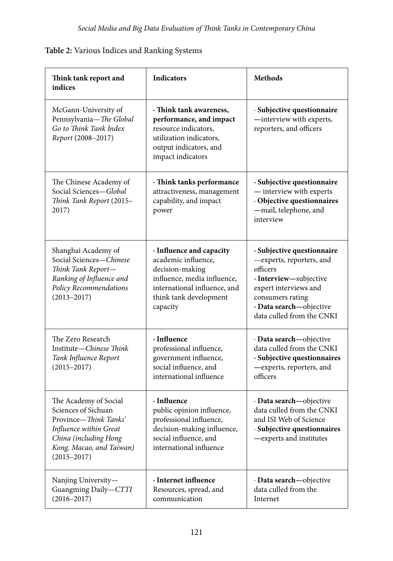| Think tank report and<br>indices                                                                                                                                        | <b>Indicators</b>                                                                                                                                                       | <b>Methods</b>                                                                                                                                                                                    |
|-------------------------------------------------------------------------------------------------------------------------------------------------------------------------|-------------------------------------------------------------------------------------------------------------------------------------------------------------------------|---------------------------------------------------------------------------------------------------------------------------------------------------------------------------------------------------|
| McGann-University of<br>Pennsylvania-The Global<br>Go to Think Tank Index<br>Report (2008-2017)                                                                         | · Think tank awareness,<br>performance, and impact<br>resource indicators,<br>utilization indicators,<br>output indicators, and<br>impact indicators                    | · Subjective questionnaire<br>-interview with experts,<br>reporters, and officers                                                                                                                 |
| The Chinese Academy of<br>Social Sciences-Global<br>Think Tank Report (2015-<br>2017)                                                                                   | · Think tanks performance<br>attractiveness, management<br>capability, and impact<br>power                                                                              | · Subjective questionnaire<br>- interview with experts<br>· Objective questionnaires<br>-mail, telephone, and<br>interview                                                                        |
| Shanghai Academy of<br>Social Sciences-Chinese<br>Think Tank Report-<br>Ranking of Influence and<br>Policy Recommendations<br>$(2013 - 2017)$                           | · Influence and capacity<br>academic influence,<br>decision-making<br>influence, media influence,<br>international influence, and<br>think tank development<br>capacity | · Subjective questionnaire<br>-experts, reporters, and<br>officers<br>· Interview-subjective<br>expert interviews and<br>consumers rating<br>· Data search-objective<br>data culled from the CNKI |
| The Zero Research<br>Institute-Chinese Think<br>Tank Influence Report<br>$(2015 - 2017)$                                                                                | · Influence<br>professional influence,<br>government influence,<br>social influence, and<br>international influence                                                     | · Data search-objective<br>data culled from the CNKI<br>· Subjective questionnaires<br>-experts, reporters, and<br>officers                                                                       |
| The Academy of Social<br>Sciences of Sichuan<br>Province-Think Tanks'<br>Influence within Great<br>China (including Hong<br>Kong, Macao, and Taiwan)<br>$(2015 - 2017)$ | · Influence<br>public opinion influence,<br>professional influence,<br>decision-making influence,<br>social influence, and<br>international influence                   | · Data search-objective<br>data culled from the CNKI<br>and ISI Web of Science<br>· Subjective questionnaires<br>-experts and institutes                                                          |
| Nanjing University-<br>Guangming Daily-CTTI<br>$(2016 - 2017)$                                                                                                          | · Internet influence<br>Resources, spread, and<br>communication                                                                                                         | · Data search-objective<br>data culled from the<br>Internet                                                                                                                                       |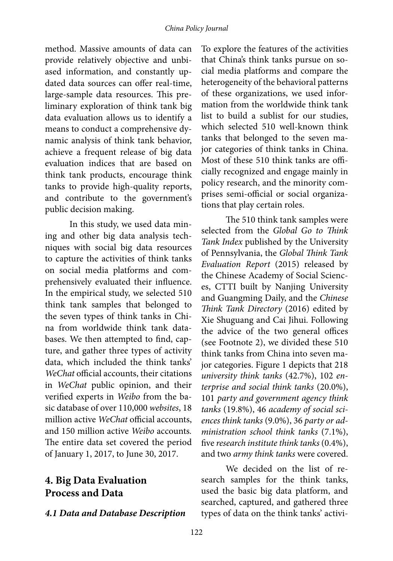method. Massive amounts of data can provide relatively objective and unbiased information, and constantly updated data sources can offer real-time, large-sample data resources. This preliminary exploration of think tank big data evaluation allows us to identify a means to conduct a comprehensive dynamic analysis of think tank behavior, achieve a frequent release of big data evaluation indices that are based on think tank products, encourage think tanks to provide high-quality reports, and contribute to the government's public decision making.

In this study, we used data mining and other big data analysis techniques with social big data resources to capture the activities of think tanks on social media platforms and comprehensively evaluated their influence. In the empirical study, we selected 510 think tank samples that belonged to the seven types of think tanks in China from worldwide think tank databases. We then attempted to find, capture, and gather three types of activity data, which included the think tanks' *WeChat* official accounts, their citations in *WeChat* public opinion, and their verified experts in *Weibo* from the basic database of over 110,000 *websites*, 18 million active *WeChat* official accounts, and 150 million active *Weibo* accounts*.* The entire data set covered the period of January 1, 2017, to June 30, 2017.

### **4. Big Data Evaluation Process and Data**

#### *4.1 Data and Database Description*

To explore the features of the activities that China's think tanks pursue on social media platforms and compare the heterogeneity of the behavioral patterns of these organizations, we used information from the worldwide think tank list to build a sublist for our studies, which selected 510 well-known think tanks that belonged to the seven major categories of think tanks in China. Most of these 510 think tanks are officially recognized and engage mainly in policy research, and the minority comprises semi-official or social organizations that play certain roles.

The 510 think tank samples were selected from the *Global Go to Think Tank Index* published by the University of Pennsylvania, the *Global Think Tank Evaluation Report* (2015) released by the Chinese Academy of Social Sciences, CTTI built by Nanjing University and Guangming Daily, and the *Chinese Think Tank Directory* (2016) edited by Xie Shuguang and Cai Jihui. Following the advice of the two general offices (see Footnote 2), we divided these 510 think tanks from China into seven major categories. Figure 1 depicts that 218 *university think tanks* (42.7%), 102 *enterprise and social think tanks* (20.0%), 101 *party and government agency think tanks* (19.8%), 46 *academy of social sciences think tanks* (9.0%), 36 *party or administration school think tanks* (7.1%), five *research institute think tanks* (0.4%), and two *army think tanks* were covered.

We decided on the list of research samples for the think tanks, used the basic big data platform, and searched, captured, and gathered three types of data on the think tanks' activi-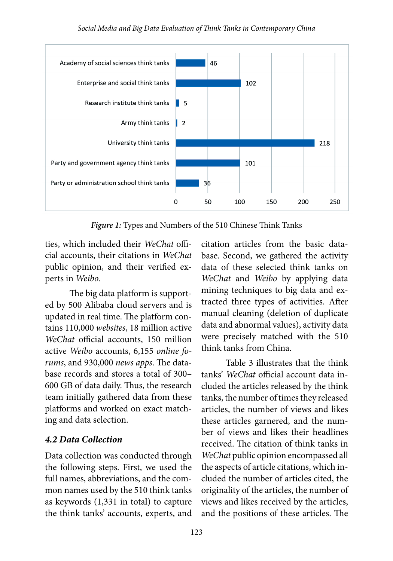

*Figure 1:* Types and Numbers of the 510 Chinese Think Tanks

ties, which included their *WeChat* official accounts, their citations in *WeChat* public opinion, and their verified experts in *Weibo*.

The big data platform is supported by 500 Alibaba cloud servers and is updated in real time. The platform contains 110,000 *websites*, 18 million active *WeChat* official accounts, 150 million active *Weibo* accounts, 6,155 *online forums*, and 930,000 *news apps*. The database records and stores a total of 300– 600 GB of data daily. Thus, the research team initially gathered data from these platforms and worked on exact matching and data selection.

#### *4.2 Data Collection*

Data collection was conducted through the following steps. First, we used the full names, abbreviations, and the common names used by the 510 think tanks as keywords (1,331 in total) to capture the think tanks' accounts, experts, and

citation articles from the basic database. Second, we gathered the activity data of these selected think tanks on *WeChat* and *Weibo* by applying data mining techniques to big data and extracted three types of activities. After manual cleaning (deletion of duplicate data and abnormal values), activity data were precisely matched with the 510 think tanks from China.

Table 3 illustrates that the think tanks' *WeChat* official account data included the articles released by the think tanks, the number of times they released articles, the number of views and likes these articles garnered, and the number of views and likes their headlines received. The citation of think tanks in *WeChat* public opinion encompassed all the aspects of article citations, which included the number of articles cited, the originality of the articles, the number of views and likes received by the articles, and the positions of these articles. The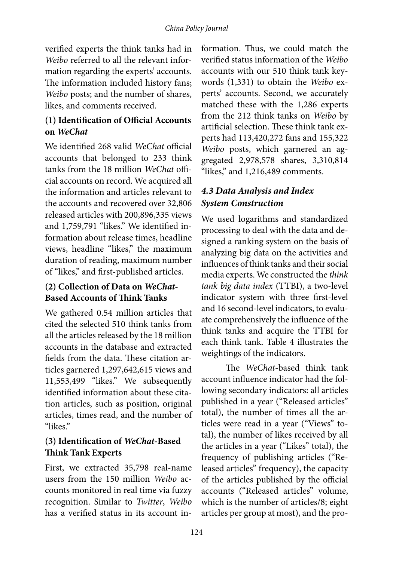verified experts the think tanks had in *Weibo* referred to all the relevant information regarding the experts' accounts. The information included history fans; *Weibo* posts; and the number of shares, likes, and comments received.

### **(1) Identification of Official Accounts on** *WeChat*

We identified 268 valid *WeChat* official accounts that belonged to 233 think tanks from the 18 million *WeChat* official accounts on record. We acquired all the information and articles relevant to the accounts and recovered over 32,806 released articles with 200,896,335 views and 1,759,791 "likes." We identified information about release times, headline views, headline "likes," the maximum duration of reading, maximum number of "likes," and first-published articles.

#### **(2) Collection of Data on** *WeChat***-Based Accounts of Think Tanks**

We gathered 0.54 million articles that cited the selected 510 think tanks from all the articles released by the 18 million accounts in the database and extracted fields from the data. These citation articles garnered 1,297,642,615 views and 11,553,499 "likes." We subsequently identified information about these citation articles, such as position, original articles, times read, and the number of "likes."

#### **(3) Identification of** *WeChat***-Based Think Tank Experts**

First, we extracted 35,798 real-name users from the 150 million *Weibo* accounts monitored in real time via fuzzy recognition. Similar to *Twitter*, *Weibo* has a verified status in its account in-

formation. Thus, we could match the verified status information of the *Weibo*  accounts with our 510 think tank keywords (1,331) to obtain the *Weibo* experts' accounts. Second, we accurately matched these with the 1,286 experts from the 212 think tanks on *Weibo* by artificial selection. These think tank experts had 113,420,272 fans and 155,322 *Weibo* posts, which garnered an aggregated 2,978,578 shares, 3,310,814 "likes," and 1,216,489 comments.

## *4.3 Data Analysis and Index System Construction*

We used logarithms and standardized processing to deal with the data and designed a ranking system on the basis of analyzing big data on the activities and influences of think tanks and their social media experts. We constructed the *think tank big data index* (TTBI), a two-level indicator system with three first-level and 16 second-level indicators, to evaluate comprehensively the influence of the think tanks and acquire the TTBI for each think tank. Table 4 illustrates the weightings of the indicators.

The *WeChat*-based think tank account influence indicator had the following secondary indicators: all articles published in a year ("Released articles" total), the number of times all the articles were read in a year ("Views" total), the number of likes received by all the articles in a year ("Likes" total), the frequency of publishing articles ("Released articles" frequency), the capacity of the articles published by the official accounts ("Released articles" volume, which is the number of articles/8; eight articles per group at most), and the pro-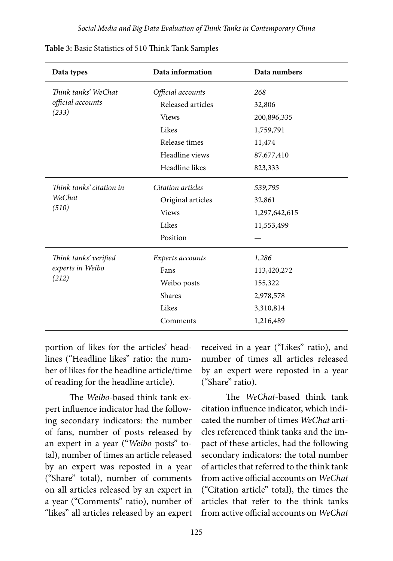| Data types               | Data information  | Data numbers  |
|--------------------------|-------------------|---------------|
| Think tanks' WeChat      | Official accounts | 268           |
| official accounts        | Released articles | 32,806        |
| (233)                    | <b>Views</b>      | 200,896,335   |
|                          | Likes             | 1,759,791     |
|                          | Release times     | 11,474        |
|                          | Headline views    | 87,677,410    |
|                          | Headline likes    | 823,333       |
| Think tanks' citation in | Citation articles | 539,795       |
| WeChat                   | Original articles | 32,861        |
| (510)                    | <b>Views</b>      | 1,297,642,615 |
|                          | Likes             | 11,553,499    |
|                          | Position          |               |
| Think tanks' verified    | Experts accounts  | 1,286         |
| experts in Weibo         | Fans              | 113,420,272   |
| (212)                    | Weibo posts       | 155,322       |
|                          | Shares            | 2,978,578     |
|                          | Likes             | 3,310,814     |
|                          | Comments          | 1,216,489     |

**Table 3:** Basic Statistics of 510 Think Tank Samples

portion of likes for the articles' headlines ("Headline likes" ratio: the number of likes for the headline article/time of reading for the headline article).

The *Weibo*-based think tank expert influence indicator had the following secondary indicators: the number of fans, number of posts released by an expert in a year ("*Weibo* posts" total), number of times an article released by an expert was reposted in a year ("Share" total), number of comments on all articles released by an expert in a year ("Comments" ratio), number of "likes" all articles released by an expert received in a year ("Likes" ratio), and number of times all articles released by an expert were reposted in a year ("Share" ratio).

The *WeChat*-based think tank citation influence indicator, which indicated the number of times *WeChat* articles referenced think tanks and the impact of these articles, had the following secondary indicators: the total number of articles that referred to the think tank from active official accounts on *WeChat* ("Citation article" total), the times the articles that refer to the think tanks from active official accounts on *WeChat*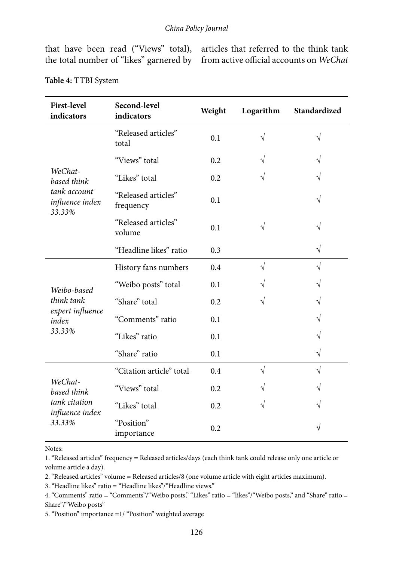that have been read ("Views" total), articles that referred to the think tank the total number of "likes" garnered by from active official accounts on *WeChat*

| <b>First-level</b><br>indicators          | Second-level<br>indicators       | Weight | Logarithm | Standardized |
|-------------------------------------------|----------------------------------|--------|-----------|--------------|
|                                           | "Released articles"<br>total     | 0.1    | $\sqrt{}$ | $\sqrt{}$    |
|                                           | "Views" total                    | 0.2    |           | V            |
| WeChat-<br>based think                    | "Likes" total                    | 0.2    | V         | $\sqrt{}$    |
| tank account<br>influence index<br>33.33% | "Released articles"<br>frequency | 0.1    |           | $\sqrt{}$    |
|                                           | "Released articles"<br>volume    | 0.1    | $\sqrt{}$ | $\sqrt{}$    |
|                                           | "Headline likes" ratio           | 0.3    |           | $\sqrt{}$    |
|                                           | History fans numbers             | 0.4    | $\sqrt{}$ | $\sqrt{}$    |
| Weibo-based                               | "Weibo posts" total              | 0.1    | V         | V            |
| think tank                                | "Share" total                    | 0.2    | $\sqrt{}$ | $\sqrt{}$    |
| expert influence<br>index                 | "Comments" ratio                 | 0.1    |           | $\sqrt{}$    |
| 33.33%                                    | "Likes" ratio                    | 0.1    |           | $\sqrt{}$    |
|                                           | "Share" ratio                    | 0.1    |           | $\sqrt{}$    |
|                                           | "Citation article" total         | 0.4    | $\sqrt{}$ | $\sqrt{}$    |
| WeChat-<br>based think                    | "Views" total                    | 0.2    |           | $\sqrt{}$    |
| tank citation<br>influence index          | "Likes" total                    | 0.2    | V         | V            |
| 33.33%                                    | "Position"<br>importance         | 0.2    |           |              |

**Table 4:** TTBI System

#### Notes:

1. "Released articles" frequency = Released articles/days (each think tank could release only one article or volume article a day).

2. "Released articles" volume = Released articles/8 (one volume article with eight articles maximum).

3. "Headline likes" ratio = "Headline likes"/"Headline views."

5. "Position" importance =1/ "Position" weighted average

<sup>4. &</sup>quot;Comments" ratio = "Comments"/"Weibo posts," "Likes" ratio = "likes"/"Weibo posts," and "Share" ratio = Share"/"Weibo posts"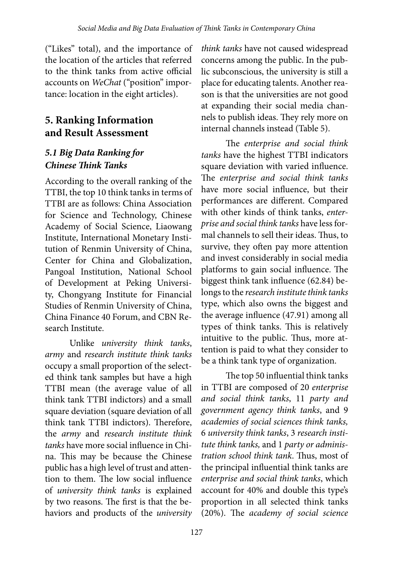("Likes" total), and the importance of the location of the articles that referred to the think tanks from active official accounts on *WeChat* ("position" importance: location in the eight articles).

## **5. Ranking Information and Result Assessment**

## *5.1 Big Data Ranking for Chinese Think Tanks*

According to the overall ranking of the TTBI, the top 10 think tanks in terms of TTBI are as follows: China Association for Science and Technology, Chinese Academy of Social Science, Liaowang Institute, International Monetary Institution of Renmin University of China, Center for China and Globalization, Pangoal Institution, National School of Development at Peking University, Chongyang Institute for Financial Studies of Renmin University of China, China Finance 40 Forum, and CBN Research Institute.

Unlike *university think tanks*, *army* and *research institute think tanks* occupy a small proportion of the selected think tank samples but have a high TTBI mean (the average value of all think tank TTBI indictors) and a small square deviation (square deviation of all think tank TTBI indictors). Therefore, the *army* and *research institute think tanks* have more social influence in China. This may be because the Chinese public has a high level of trust and attention to them. The low social influence of *university think tanks* is explained by two reasons. The first is that the behaviors and products of the *university* 

*think tanks* have not caused widespread concerns among the public. In the public subconscious, the university is still a place for educating talents. Another reason is that the universities are not good at expanding their social media channels to publish ideas. They rely more on internal channels instead (Table 5).

The *enterprise and social think tanks* have the highest TTBI indicators square deviation with varied influence. The *enterprise and social think tanks*  have more social influence, but their performances are different. Compared with other kinds of think tanks, *enterprise and social think tanks* have less formal channels to sell their ideas. Thus, to survive, they often pay more attention and invest considerably in social media platforms to gain social influence. The biggest think tank influence (62.84) belongs to the *research institute think tanks* type, which also owns the biggest and the average influence (47.91) among all types of think tanks. This is relatively intuitive to the public. Thus, more attention is paid to what they consider to be a think tank type of organization.

The top 50 influential think tanks in TTBI are composed of 20 *enterprise and social think tanks*, 11 *party and government agency think tanks*, and 9 *academies of social sciences think tanks,* 6 *university think tanks*, 3 *research institute think tanks,* and 1 *party or administration school think tank*. Thus, most of the principal influential think tanks are *enterprise and social think tanks*, which account for 40% and double this type's proportion in all selected think tanks (20%). The *academy of social science*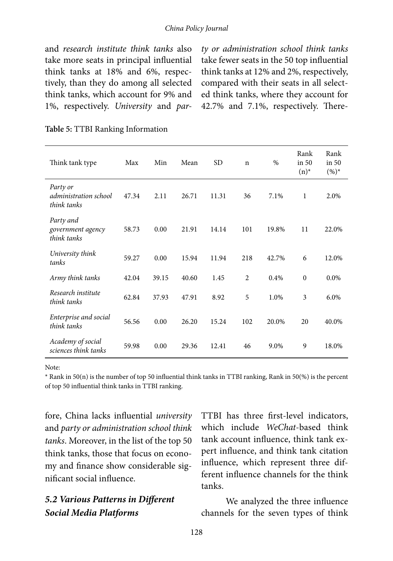#### *China Policy Journal*

and *research institute think tanks* also take more seats in principal influential think tanks at 18% and 6%, respectively, than they do among all selected think tanks, which account for 9% and 1%, respectively. *University* and *par-* *ty or administration school think tanks* take fewer seats in the 50 top influential think tanks at 12% and 2%, respectively, compared with their seats in all selected think tanks, where they account for 42.7% and 7.1%, respectively. There-

| Think tank type                                  | Max   | Min   | Mean  | <b>SD</b> | $\mathbf n$    | $\%$  | Rank<br>in 50<br>$(n)^*$ | Rank<br>in 50<br>$(\%)^*$ |
|--------------------------------------------------|-------|-------|-------|-----------|----------------|-------|--------------------------|---------------------------|
| Party or<br>administration school<br>think tanks | 47.34 | 2.11  | 26.71 | 11.31     | 36             | 7.1%  | 1                        | 2.0%                      |
| Party and<br>government agency<br>think tanks    | 58.73 | 0.00  | 21.91 | 14.14     | 101            | 19.8% | 11                       | 22.0%                     |
| University think<br>tanks                        | 59.27 | 0.00  | 15.94 | 11.94     | 218            | 42.7% | 6                        | 12.0%                     |
| Army think tanks                                 | 42.04 | 39.15 | 40.60 | 1.45      | $\overline{c}$ | 0.4%  | $\mathbf{0}$             | 0.0%                      |
| Research institute<br>think tanks                | 62.84 | 37.93 | 47.91 | 8.92      | 5              | 1.0%  | 3                        | 6.0%                      |
| Enterprise and social<br>think tanks             | 56.56 | 0.00  | 26.20 | 15.24     | 102            | 20.0% | 20                       | 40.0%                     |
| Academy of social<br>sciences think tanks        | 59.98 | 0.00  | 29.36 | 12.41     | 46             | 9.0%  | 9                        | 18.0%                     |

#### **Table 5:** TTBI Ranking Information

Note:

\* Rank in 50(n) is the number of top 50 influential think tanks in TTBI ranking, Rank in 50(%) is the percent of top 50 influential think tanks in TTBI ranking.

fore, China lacks influential *university*  and *party or administration school think tanks*. Moreover, in the list of the top 50 think tanks, those that focus on economy and finance show considerable significant social influence.

### *5.2 Various Patterns in Different Social Media Platforms*

TTBI has three first-level indicators, which include *WeChat*-based think tank account influence, think tank expert influence, and think tank citation influence, which represent three different influence channels for the think tanks.

We analyzed the three influence channels for the seven types of think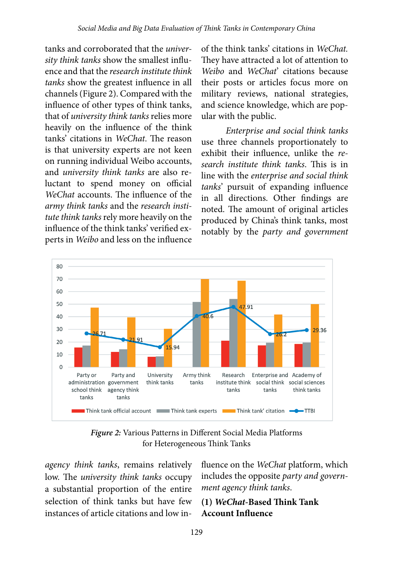tanks and corroborated that the *university think tanks* show the smallest influence and that the *research institute think tanks* show the greatest influence in all channels (Figure 2). Compared with the influence of other types of think tanks, that of *university think tanks* relies more heavily on the influence of the think tanks' citations in *WeChat*. The reason is that university experts are not keen on running individual Weibo accounts, and *university think tanks* are also reluctant to spend money on official *WeChat* accounts. The influence of the *army think tanks* and the *research institute think tanks* rely more heavily on the influence of the think tanks' verified experts in *Weibo* and less on the influence of the think tanks' citations in *WeChat.*  They have attracted a lot of attention to *Weibo* and *WeChat*' citations because their posts or articles focus more on military reviews, national strategies, and science knowledge, which are popular with the public.

*Enterprise and social think tanks*  use three channels proportionately to exhibit their influence, unlike the *research institute think tanks*. This is in line with the *enterprise and social think tanks*' pursuit of expanding influence in all directions. Other findings are noted. The amount of original articles produced by China's think tanks, most notably by the *party and government* 



*Figure 2:* Various Patterns in Different Social Media Platforms for Heterogeneous Think Tanks

*agency think tanks*, remains relatively low. The *university think tanks* occupy a substantial proportion of the entire selection of think tanks but have few instances of article citations and low influence on the *WeChat* platform, which includes the opposite *party and government agency think tanks*.

#### **(1)** *WeChat***-Based Think Tank Account Influence**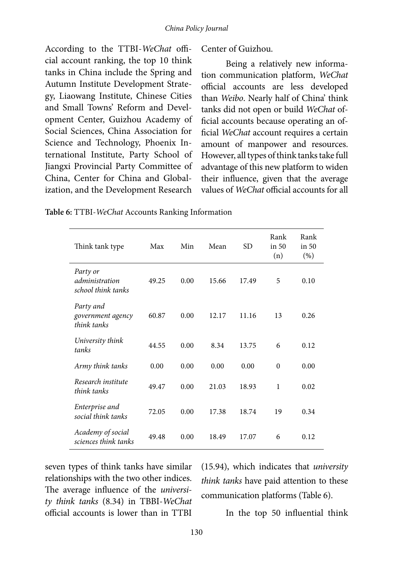According to the TTBI-*WeChat* official account ranking, the top 10 think tanks in China include the Spring and Autumn Institute Development Strategy, Liaowang Institute, Chinese Cities and Small Towns' Reform and Development Center, Guizhou Academy of Social Sciences, China Association for Science and Technology, Phoenix International Institute, Party School of Jiangxi Provincial Party Committee of China, Center for China and Globalization, and the Development Research

Center of Guizhou.

Being a relatively new information communication platform, *WeChat* official accounts are less developed than *Weibo*. Nearly half of China' think tanks did not open or build *WeChat* official accounts because operating an official *WeChat* account requires a certain amount of manpower and resources. However, all types of think tanks take full advantage of this new platform to widen their influence, given that the average values of *WeChat* official accounts for all

| Think tank type                                  | Max   | Min  | Mean  | <b>SD</b> | Rank<br>in 50<br>(n) | Rank<br>in 50<br>$(\%)$ |
|--------------------------------------------------|-------|------|-------|-----------|----------------------|-------------------------|
| Party or<br>administration<br>school think tanks | 49.25 | 0.00 | 15.66 | 17.49     | 5                    | 0.10                    |
| Party and<br>government agency<br>think tanks    | 60.87 | 0.00 | 12.17 | 11.16     | 13                   | 0.26                    |
| University think<br>tanks                        | 44.55 | 0.00 | 8.34  | 13.75     | 6                    | 0.12                    |
| Army think tanks                                 | 0.00  | 0.00 | 0.00  | 0.00      | $\theta$             | 0.00                    |
| Research institute<br>think tanks                | 49.47 | 0.00 | 21.03 | 18.93     | $\mathbf{1}$         | 0.02                    |
| Enterprise and<br>social think tanks             | 72.05 | 0.00 | 17.38 | 18.74     | 19                   | 0.34                    |
| Academy of social<br>sciences think tanks        | 49.48 | 0.00 | 18.49 | 17.07     | 6                    | 0.12                    |

**Table 6:** TTBI-*WeChat* Accounts Ranking Information

seven types of think tanks have similar relationships with the two other indices. The average influence of the *university think tanks* (8.34) in TBBI-*WeChat* official accounts is lower than in TTBI

(15.94), which indicates that *university think tanks* have paid attention to these communication platforms (Table 6).

In the top 50 influential think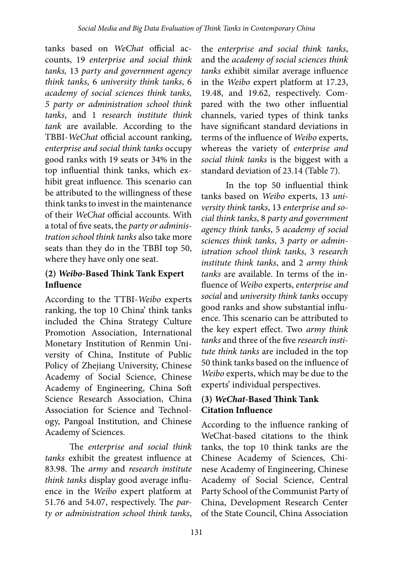tanks based on *WeChat* official accounts, 19 *enterprise and social think tanks,* 13 *party and government agency think tanks*, 6 *university think tanks*, 6 *academy of social sciences think tanks, 5 party or administration school think tanks*, and 1 *research institute think tank* are available. According to the TBBI-*WeChat* official account ranking, *enterprise and social think tanks* occupy good ranks with 19 seats or 34% in the top influential think tanks, which exhibit great influence. This scenario can be attributed to the willingness of these think tanks to invest in the maintenance of their *WeChat* official accounts. With a total of five seats, the *party or administration school think tanks* also take more seats than they do in the TBBI top 50, where they have only one seat.

#### **(2)** *Weibo***-Based Think Tank Expert Influence**

According to the TTBI-*Weibo* experts ranking, the top 10 China' think tanks included the China Strategy Culture Promotion Association, International Monetary Institution of Renmin University of China, Institute of Public Policy of Zhejiang University, Chinese Academy of Social Science, Chinese Academy of Engineering, China Soft Science Research Association, China Association for Science and Technology, Pangoal Institution, and Chinese Academy of Sciences.

The *enterprise and social think tanks* exhibit the greatest influence at 83.98. The *army* and *research institute think tanks* display good average influence in the *Weibo* expert platform at 51.76 and 54.07, respectively. The *party or administration school think tanks*,

the *enterprise and social think tanks*, and the *academy of social sciences think tanks* exhibit similar average influence in the *Weibo* expert platform at 17.23, 19.48, and 19.62, respectively. Compared with the two other influential channels, varied types of think tanks have significant standard deviations in terms of the influence of *Weibo* experts, whereas the variety of *enterprise and social think tanks* is the biggest with a standard deviation of 23.14 (Table 7).

In the top 50 influential think tanks based on *Weibo* experts, 13 *university think tanks*, 13 *enterprise and social think tanks*, 8 *party and government agency think tanks*, 5 *academy of social sciences think tanks*, 3 *party or administration school think tanks*, 3 *research institute think tanks*, and 2 *army think tanks* are available. In terms of the influence of *Weibo* experts, *enterprise and social* and *university think tanks* occupy good ranks and show substantial influence. This scenario can be attributed to the key expert effect. Two *army think tanks* and three of the five *research institute think tanks* are included in the top 50 think tanks based on the influence of *Weibo* experts, which may be due to the experts' individual perspectives.

#### **(3)** *WeChat***-Based Think Tank Citation Influence**

According to the influence ranking of WeChat-based citations to the think tanks, the top 10 think tanks are the Chinese Academy of Sciences, Chinese Academy of Engineering, Chinese Academy of Social Science, Central Party School of the Communist Party of China, Development Research Center of the State Council, China Association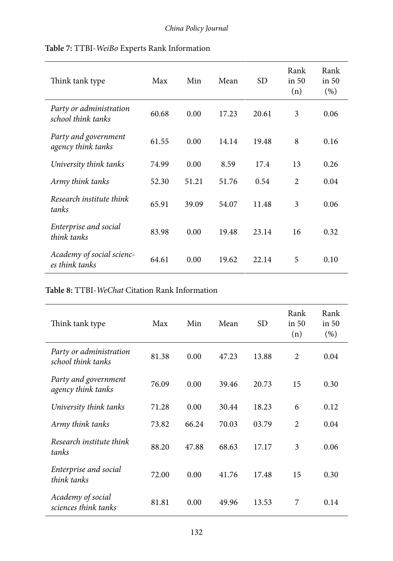| Think tank type                               | Max   | Min   | Mean  | <b>SD</b> | Rank<br>in $50$<br>(n) | Rank<br>$\sin 50$<br>(% ) |
|-----------------------------------------------|-------|-------|-------|-----------|------------------------|---------------------------|
| Party or administration<br>school think tanks | 60.68 | 0.00  | 17.23 | 20.61     | 3                      | 0.06                      |
| Party and government<br>agency think tanks    | 61.55 | 0.00  | 14.14 | 19.48     | 8                      | 0.16                      |
| University think tanks                        | 74.99 | 0.00  | 8.59  | 17.4      | 13                     | 0.26                      |
| Army think tanks                              | 52.30 | 51.21 | 51.76 | 0.54      | $\overline{c}$         | 0.04                      |
| Research institute think<br>tanks             | 65.91 | 39.09 | 54.07 | 11.48     | 3                      | 0.06                      |
| Enterprise and social<br>think tanks          | 83.98 | 0.00  | 19.48 | 23.14     | 16                     | 0.32                      |
| Academy of social scienc-<br>es think tanks   | 64.61 | 0.00  | 19.62 | 22.14     | 5                      | 0.10                      |

#### **Table 7:** TTBI-*WeiBo* Experts Rank Information

#### **Table 8:** TTBI-*WeChat* Citation Rank Information

| Think tank type                               | Max   | Min   | Mean  | SD <sub>.</sub> | Rank<br>in 50<br>(n) | Rank<br>in 50<br>(% ) |
|-----------------------------------------------|-------|-------|-------|-----------------|----------------------|-----------------------|
| Party or administration<br>school think tanks | 81.38 | 0.00  | 47.23 | 13.88           | $\overline{2}$       | 0.04                  |
| Party and government<br>agency think tanks    | 76.09 | 0.00  | 39.46 | 20.73           | 15                   | 0.30                  |
| University think tanks                        | 71.28 | 0.00  | 30.44 | 18.23           | 6                    | 0.12                  |
| Army think tanks                              | 73.82 | 66.24 | 70.03 | 03.79           | $\overline{2}$       | 0.04                  |
| Research institute think<br>tanks             | 88.20 | 47.88 | 68.63 | 17.17           | 3                    | 0.06                  |
| Enterprise and social<br>think tanks          | 72.00 | 0.00  | 41.76 | 17.48           | 15                   | 0.30                  |
| Academy of social<br>sciences think tanks     | 81.81 | 0.00  | 49.96 | 13.53           | 7                    | 0.14                  |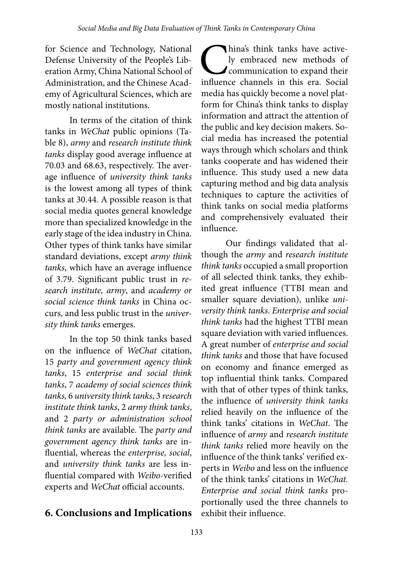for Science and Technology, National Defense University of the People's Liberation Army, China National School of Administration, and the Chinese Academy of Agricultural Sciences, which are mostly national institutions.

In terms of the citation of think tanks in *WeChat* public opinions (Table 8), *army* and *research institute think tanks* display good average influence at 70.03 and 68.63, respectively. The average influence of *university think tanks*  is the lowest among all types of think tanks at 30.44. A possible reason is that social media quotes general knowledge more than specialized knowledge in the early stage of the idea industry in China. Other types of think tanks have similar standard deviations, except *army think tanks*, which have an average influence of 3.79. Significant public trust in *research institute, army*, and *academy or social science think tanks* in China occurs, and less public trust in the *university think tanks* emerges.

In the top 50 think tanks based on the influence of *WeChat* citation, 15 *party and government agency think tanks*, 15 *enterprise and social think tanks*, 7 *academy of social sciences think tanks,* 6 *university think tanks*, 3 *research institute think tanks*, 2 *army think tanks*, and 2 *party or administration school think tanks* are available. The *party and government agency think tanks* are influential, whereas the *enterprise, social*, and *university think tanks* are less influential compared with *Weibo*-verified experts and *WeChat* official accounts.

**6. Conclusions and Implications**

hina's think tanks have active-<br>ly embraced new methods of<br>communication to expand their<br>influence channels in this era. Social ly embraced new methods of communication to expand their influence channels in this era. Social media has quickly become a novel platform for China's think tanks to display information and attract the attention of the public and key decision makers. Social media has increased the potential ways through which scholars and think tanks cooperate and has widened their influence. This study used a new data capturing method and big data analysis techniques to capture the activities of think tanks on social media platforms and comprehensively evaluated their influence.

Our findings validated that although the *army* and *research institute think tanks* occupied a small proportion of all selected think tanks, they exhibited great influence (TTBI mean and smaller square deviation), unlike *university think tanks*. *Enterprise and social think tanks* had the highest TTBI mean square deviation with varied influences. A great number of *enterprise and social think tanks* and those that have focused on economy and finance emerged as top influential think tanks. Compared with that of other types of think tanks, the influence of *university think tanks* relied heavily on the influence of the think tanks' citations in *WeChat*. The influence of *army* and *research institute think tanks* relied more heavily on the influence of the think tanks' verified experts in *Weibo* and less on the influence of the think tanks' citations in *WeChat. Enterprise and social think tanks* proportionally used the three channels to exhibit their influence.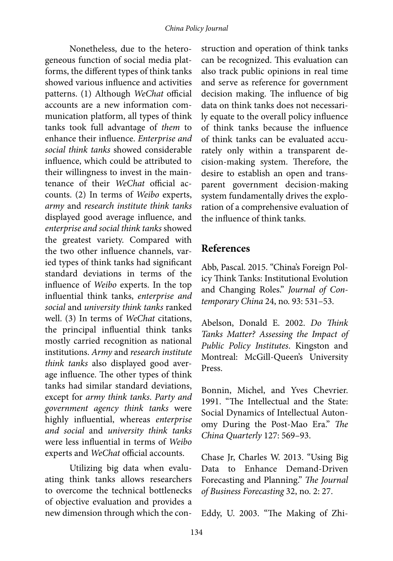Nonetheless, due to the heterogeneous function of social media platforms, the different types of think tanks showed various influence and activities patterns. (1) Although *WeChat* official accounts are a new information communication platform, all types of think tanks took full advantage of *them* to enhance their influence. *Enterprise and social think tanks* showed considerable influence, which could be attributed to their willingness to invest in the maintenance of their *WeChat* official accounts. (2) In terms of *Weibo* experts, *army* and *research institute think tanks* displayed good average influence, and *enterprise and social think tanks* showed the greatest variety. Compared with the two other influence channels, varied types of think tanks had significant standard deviations in terms of the influence of *Weibo* experts. In the top influential think tanks, *enterprise and social* and *university think tanks* ranked well. (3) In terms of *WeChat* citations, the principal influential think tanks mostly carried recognition as national institutions. *Army* and *research institute think tanks* also displayed good average influence. The other types of think tanks had similar standard deviations, except for *army think tanks*. *Party and government agency think tanks* were highly influential, whereas *enterprise and social* and *university think tanks* were less influential in terms of *Weibo* experts and *WeChat* official accounts.

Utilizing big data when evaluating think tanks allows researchers to overcome the technical bottlenecks of objective evaluation and provides a new dimension through which the construction and operation of think tanks can be recognized. This evaluation can also track public opinions in real time and serve as reference for government decision making. The influence of big data on think tanks does not necessarily equate to the overall policy influence of think tanks because the influence of think tanks can be evaluated accurately only within a transparent decision-making system. Therefore, the desire to establish an open and transparent government decision-making system fundamentally drives the exploration of a comprehensive evaluation of the influence of think tanks.

### **References**

Abb, Pascal. 2015. "China's Foreign Policy Think Tanks: Institutional Evolution and Changing Roles." *Journal of Contemporary China* 24, no. 93: 531–53.

Abelson, Donald E. 2002. *Do Think Tanks Matter? Assessing the Impact of Public Policy Institutes*. Kingston and Montreal: McGill-Queen's University Press.

Bonnin, Michel, and Yves Chevrier. 1991. "The Intellectual and the State: Social Dynamics of Intellectual Autonomy During the Post-Mao Era." *The China Quarterly* 127: 569–93.

Chase Jr, Charles W. 2013. "Using Big Data to Enhance Demand-Driven Forecasting and Planning." *The Journal of Business Forecasting* 32, no. 2: 27.

Eddy, U. 2003. "The Making of Zhi-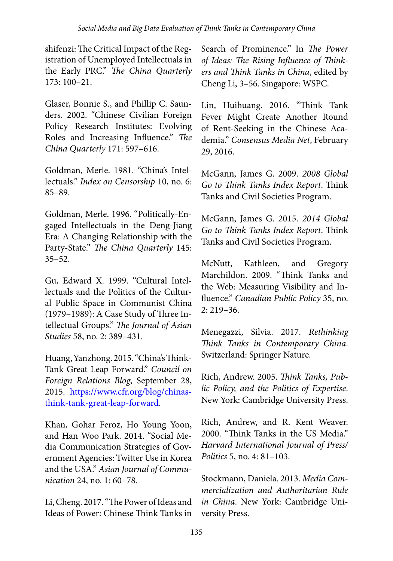shifenzi: The Critical Impact of the Registration of Unemployed Intellectuals in the Early PRC." *The China Quarterly*  173: 100–21.

Glaser, Bonnie S., and Phillip C. Saunders. 2002. "Chinese Civilian Foreign Policy Research Institutes: Evolving Roles and Increasing Influence." *The China Quarterly* 171: 597–616.

Goldman, Merle. 1981. "China's Intellectuals." *Index on Censorship* 10, no. 6: 85–89.

Goldman, Merle. 1996. "Politically-Engaged Intellectuals in the Deng-Jiang Era: A Changing Relationship with the Party-State." *The China Quarterly* 145:  $35 - 52.$ 

Gu, Edward X. 1999. "Cultural Intellectuals and the Politics of the Cultural Public Space in Communist China (1979–1989): A Case Study of Three Intellectual Groups." *The Journal of Asian Studies* 58, no. 2: 389–431.

Huang, Yanzhong. 2015. "China's Think-Tank Great Leap Forward." *Council on Foreign Relations Blog*, September 28, 2015. [https://www.cfr.org/blog/chinas](https://www.cfr.org/blog/chinas-think-tank-great-leap-forward)[think-tank-great-leap-forward.](https://www.cfr.org/blog/chinas-think-tank-great-leap-forward)

Khan, Gohar Feroz, Ho Young Yoon, and Han Woo Park. 2014. "Social Media Communication Strategies of Government Agencies: Twitter Use in Korea and the USA." *Asian Journal of Communication* 24, no. 1: 60–78.

Li, Cheng. 2017. "The Power of Ideas and Ideas of Power: Chinese Think Tanks in

Search of Prominence." In *The Power of Ideas: The Rising Influence of Thinkers and Think Tanks in China*, edited by Cheng Li, 3–56. Singapore: WSPC.

Lin, Huihuang. 2016. "Think Tank Fever Might Create Another Round of Rent-Seeking in the Chinese Academia." *Consensus Media Net*, February 29, 2016.

McGann, James G. 2009. *2008 Global Go to Think Tanks Index Report*. Think Tanks and Civil Societies Program.

McGann, James G. 2015. *2014 Global Go to Think Tanks Index Report*. Think Tanks and Civil Societies Program.

McNutt, Kathleen, and Gregory Marchildon. 2009. "Think Tanks and the Web: Measuring Visibility and Influence." *Canadian Public Policy* 35, no. 2: 219–36.

Menegazzi, Silvia. 2017. *Rethinking Think Tanks in Contemporary China*. Switzerland: Springer Nature.

Rich, Andrew. 2005. *Think Tanks, Public Policy, and the Politics of Expertise*. New York: Cambridge University Press.

Rich, Andrew, and R. Kent Weaver. 2000. "Think Tanks in the US Media." *Harvard International Journal of Press/ Politics* 5, no. 4: 81–103.

Stockmann, Daniela. 2013. *Media Commercialization and Authoritarian Rule in China*. New York: Cambridge University Press.